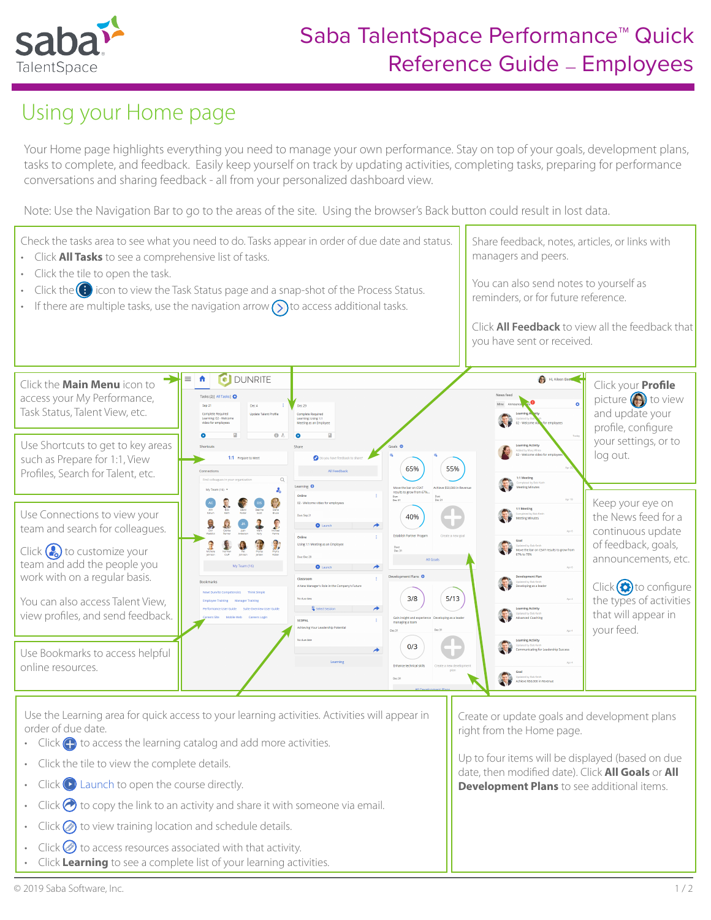

## Using your Home page

Your Home page highlights everything you need to manage your own performance. Stay on top of your goals, development plans, tasks to complete, and feedback. Easily keep yourself on track by updating activities, completing tasks, preparing for performance conversations and sharing feedback - all from your personalized dashboard view.

Note: Use the Navigation Bar to go to the areas of the site. Using the browser's Back button could result in lost data.



Use the Learning area for quick access to your learning activities. Activities will appear in order of due date.

- $\cdot$  Click  $\bigoplus$  to access the learning catalog and add more activities.
- Click the tile to view the complete details.
- $\cdot$  Click  $\odot$  Launch to open the course directly.
- Click  $\bigodot$  to copy the link to an activity and share it with someone via email.
- Click  $\oslash$  to view training location and schedule details.
- Click  $\oslash$  to access resources associated with that activity.
- Click **Learning** to see a complete list of your learning activities.

Create or update goals and development plans right from the Home page.

Up to four items will be displayed (based on due date, then modified date). Click **All Goals** or **All Development Plans** to see additional items.